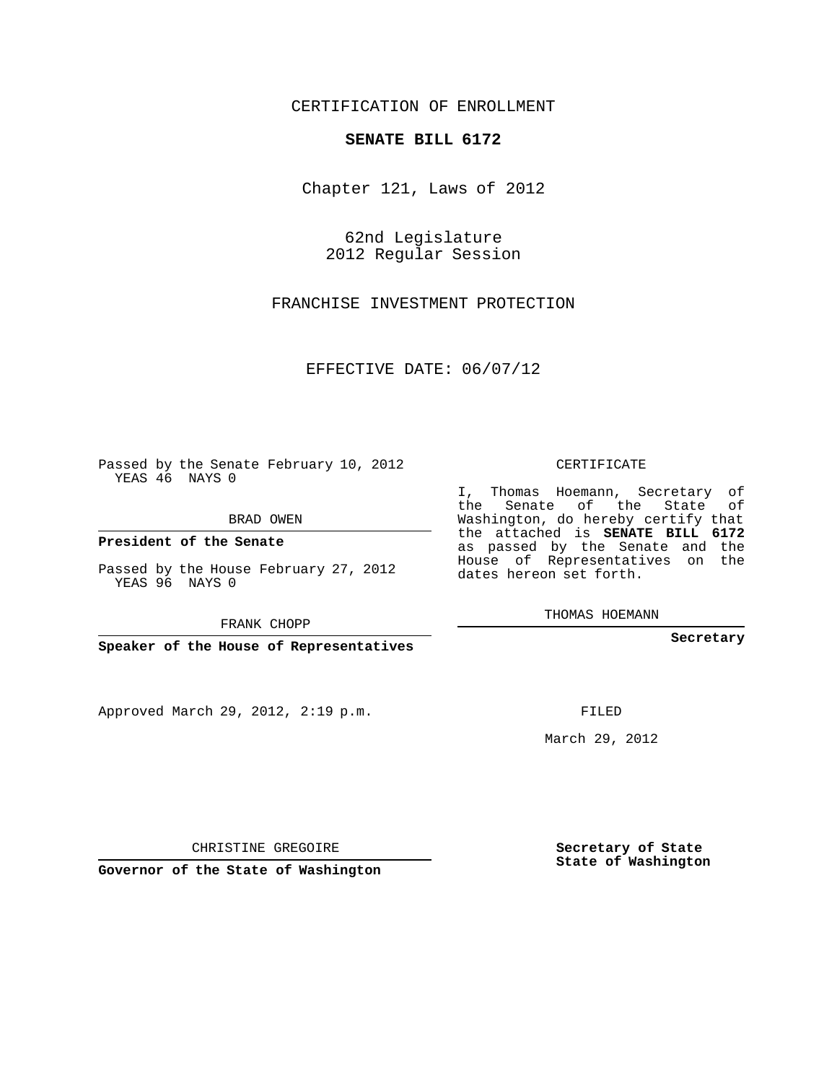## CERTIFICATION OF ENROLLMENT

## **SENATE BILL 6172**

Chapter 121, Laws of 2012

62nd Legislature 2012 Regular Session

FRANCHISE INVESTMENT PROTECTION

EFFECTIVE DATE: 06/07/12

Passed by the Senate February 10, 2012 YEAS 46 NAYS 0

BRAD OWEN

**President of the Senate**

Passed by the House February 27, 2012 YEAS 96 NAYS 0

FRANK CHOPP

**Speaker of the House of Representatives**

Approved March 29, 2012, 2:19 p.m.

CERTIFICATE

I, Thomas Hoemann, Secretary of the Senate of the State of Washington, do hereby certify that the attached is **SENATE BILL 6172** as passed by the Senate and the House of Representatives on the dates hereon set forth.

THOMAS HOEMANN

**Secretary**

FILED

March 29, 2012

**Secretary of State State of Washington**

CHRISTINE GREGOIRE

**Governor of the State of Washington**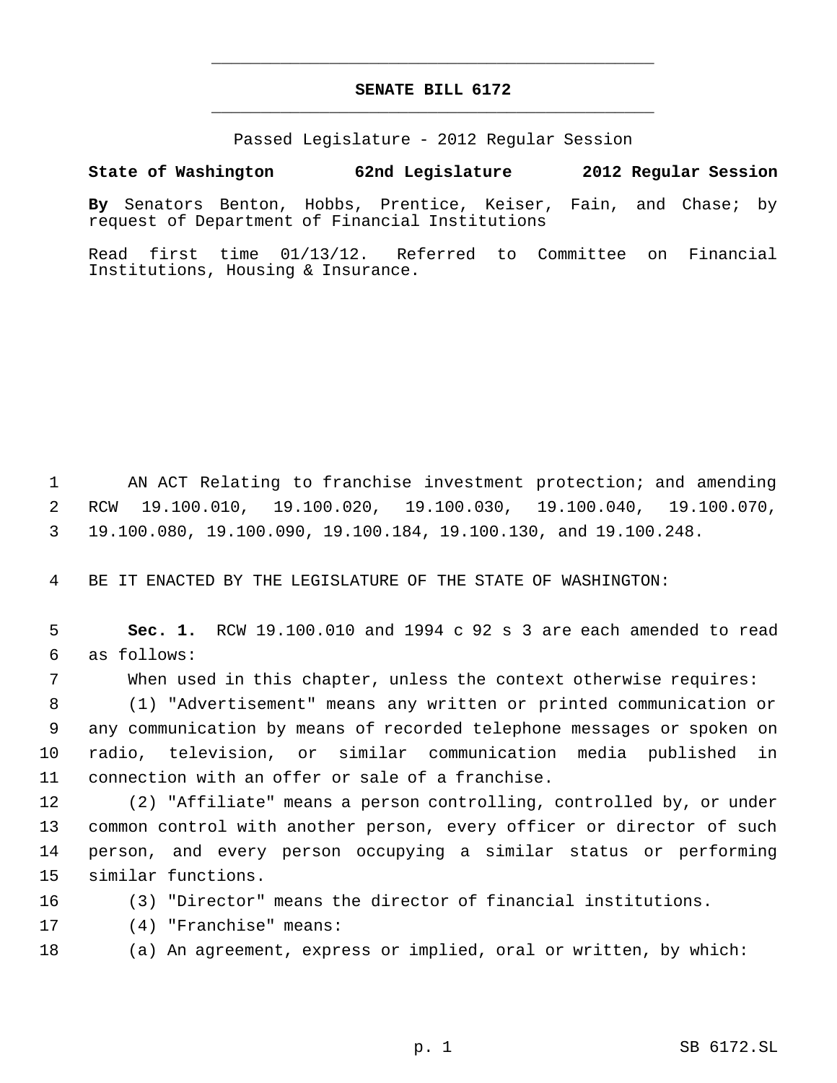## **SENATE BILL 6172** \_\_\_\_\_\_\_\_\_\_\_\_\_\_\_\_\_\_\_\_\_\_\_\_\_\_\_\_\_\_\_\_\_\_\_\_\_\_\_\_\_\_\_\_\_

\_\_\_\_\_\_\_\_\_\_\_\_\_\_\_\_\_\_\_\_\_\_\_\_\_\_\_\_\_\_\_\_\_\_\_\_\_\_\_\_\_\_\_\_\_

Passed Legislature - 2012 Regular Session

**State of Washington 62nd Legislature 2012 Regular Session**

**By** Senators Benton, Hobbs, Prentice, Keiser, Fain, and Chase; by request of Department of Financial Institutions

Read first time 01/13/12. Referred to Committee on Financial Institutions, Housing & Insurance.

 AN ACT Relating to franchise investment protection; and amending RCW 19.100.010, 19.100.020, 19.100.030, 19.100.040, 19.100.070, 19.100.080, 19.100.090, 19.100.184, 19.100.130, and 19.100.248.

BE IT ENACTED BY THE LEGISLATURE OF THE STATE OF WASHINGTON:

 **Sec. 1.** RCW 19.100.010 and 1994 c 92 s 3 are each amended to read as follows:

When used in this chapter, unless the context otherwise requires:

 (1) "Advertisement" means any written or printed communication or any communication by means of recorded telephone messages or spoken on radio, television, or similar communication media published in connection with an offer or sale of a franchise.

 (2) "Affiliate" means a person controlling, controlled by, or under common control with another person, every officer or director of such person, and every person occupying a similar status or performing similar functions.

(3) "Director" means the director of financial institutions.

(4) "Franchise" means:

(a) An agreement, express or implied, oral or written, by which: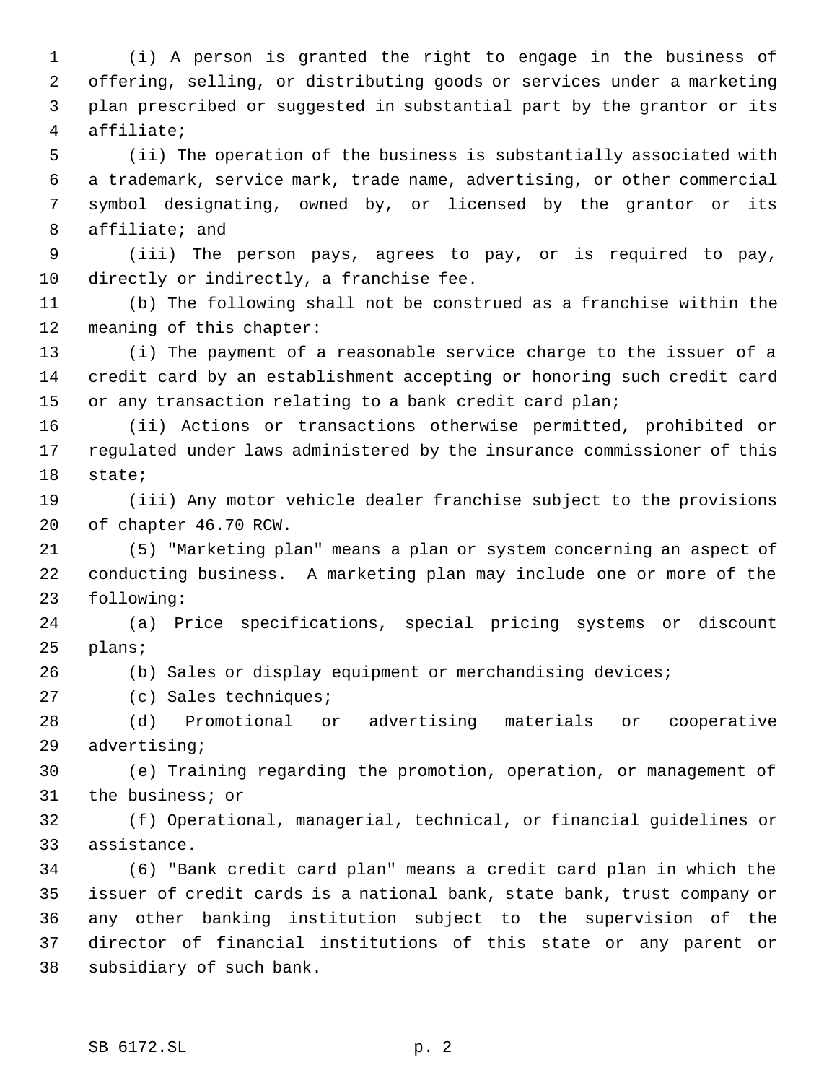(i) A person is granted the right to engage in the business of offering, selling, or distributing goods or services under a marketing plan prescribed or suggested in substantial part by the grantor or its affiliate;

 (ii) The operation of the business is substantially associated with a trademark, service mark, trade name, advertising, or other commercial symbol designating, owned by, or licensed by the grantor or its affiliate; and

 (iii) The person pays, agrees to pay, or is required to pay, directly or indirectly, a franchise fee.

 (b) The following shall not be construed as a franchise within the meaning of this chapter:

 (i) The payment of a reasonable service charge to the issuer of a credit card by an establishment accepting or honoring such credit card or any transaction relating to a bank credit card plan;

 (ii) Actions or transactions otherwise permitted, prohibited or regulated under laws administered by the insurance commissioner of this state;

 (iii) Any motor vehicle dealer franchise subject to the provisions of chapter 46.70 RCW.

 (5) "Marketing plan" means a plan or system concerning an aspect of conducting business. A marketing plan may include one or more of the following:

 (a) Price specifications, special pricing systems or discount plans;

(b) Sales or display equipment or merchandising devices;

(c) Sales techniques;

 (d) Promotional or advertising materials or cooperative advertising;

 (e) Training regarding the promotion, operation, or management of the business; or

 (f) Operational, managerial, technical, or financial guidelines or assistance.

 (6) "Bank credit card plan" means a credit card plan in which the issuer of credit cards is a national bank, state bank, trust company or any other banking institution subject to the supervision of the director of financial institutions of this state or any parent or subsidiary of such bank.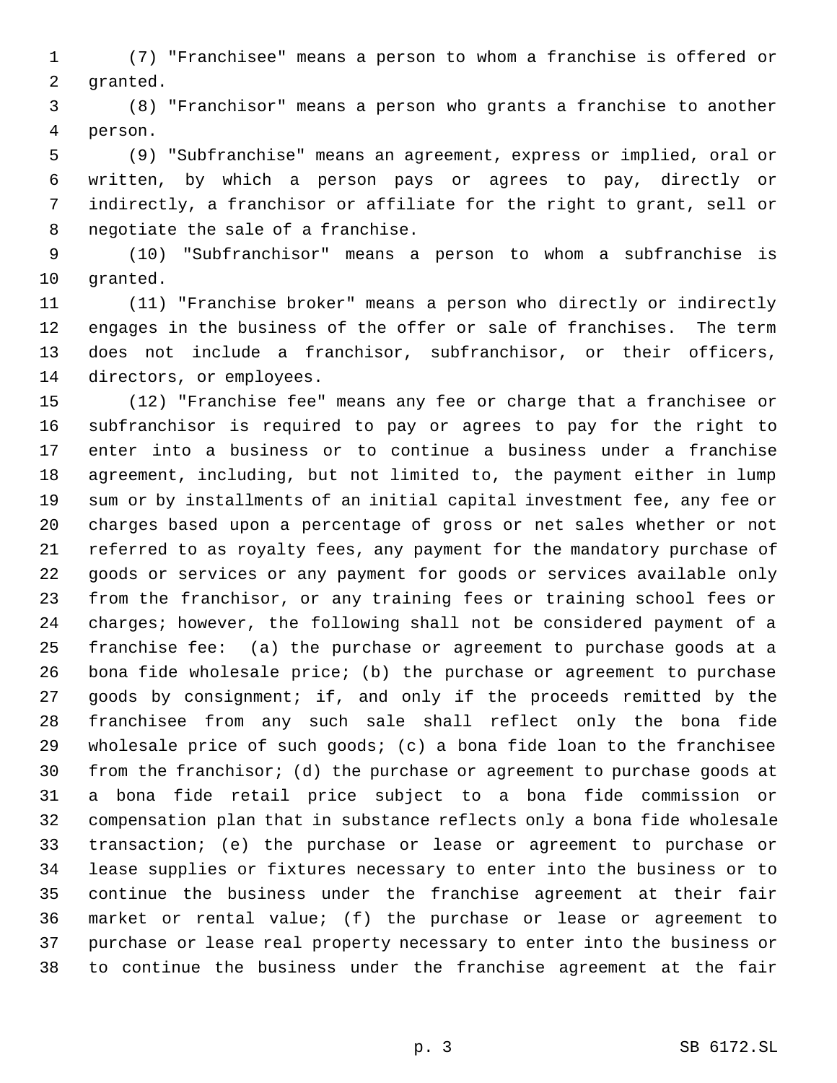(7) "Franchisee" means a person to whom a franchise is offered or granted.

 (8) "Franchisor" means a person who grants a franchise to another person.

 (9) "Subfranchise" means an agreement, express or implied, oral or written, by which a person pays or agrees to pay, directly or indirectly, a franchisor or affiliate for the right to grant, sell or negotiate the sale of a franchise.

 (10) "Subfranchisor" means a person to whom a subfranchise is granted.

 (11) "Franchise broker" means a person who directly or indirectly engages in the business of the offer or sale of franchises. The term does not include a franchisor, subfranchisor, or their officers, directors, or employees.

 (12) "Franchise fee" means any fee or charge that a franchisee or subfranchisor is required to pay or agrees to pay for the right to enter into a business or to continue a business under a franchise agreement, including, but not limited to, the payment either in lump sum or by installments of an initial capital investment fee, any fee or charges based upon a percentage of gross or net sales whether or not referred to as royalty fees, any payment for the mandatory purchase of goods or services or any payment for goods or services available only from the franchisor, or any training fees or training school fees or charges; however, the following shall not be considered payment of a franchise fee: (a) the purchase or agreement to purchase goods at a bona fide wholesale price; (b) the purchase or agreement to purchase goods by consignment; if, and only if the proceeds remitted by the franchisee from any such sale shall reflect only the bona fide wholesale price of such goods; (c) a bona fide loan to the franchisee from the franchisor; (d) the purchase or agreement to purchase goods at a bona fide retail price subject to a bona fide commission or compensation plan that in substance reflects only a bona fide wholesale transaction; (e) the purchase or lease or agreement to purchase or lease supplies or fixtures necessary to enter into the business or to continue the business under the franchise agreement at their fair market or rental value; (f) the purchase or lease or agreement to purchase or lease real property necessary to enter into the business or to continue the business under the franchise agreement at the fair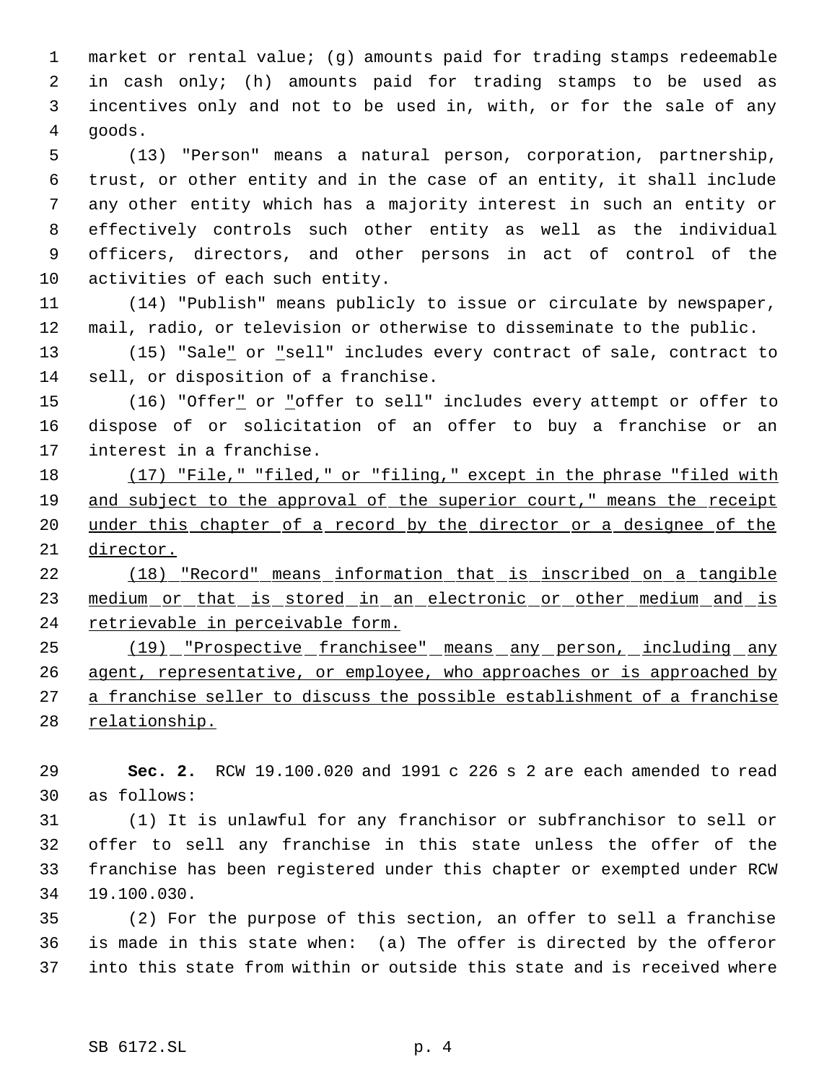market or rental value; (g) amounts paid for trading stamps redeemable in cash only; (h) amounts paid for trading stamps to be used as incentives only and not to be used in, with, or for the sale of any goods.

 (13) "Person" means a natural person, corporation, partnership, trust, or other entity and in the case of an entity, it shall include any other entity which has a majority interest in such an entity or effectively controls such other entity as well as the individual officers, directors, and other persons in act of control of the activities of each such entity.

 (14) "Publish" means publicly to issue or circulate by newspaper, mail, radio, or television or otherwise to disseminate to the public.

 (15) "Sale" or "sell" includes every contract of sale, contract to sell, or disposition of a franchise.

 (16) "Offer" or "offer to sell" includes every attempt or offer to dispose of or solicitation of an offer to buy a franchise or an interest in a franchise.

 (17) "File," "filed," or "filing," except in the phrase "filed with and subject to the approval of the superior court," means the receipt 20 under this chapter of a record by the director or a designee of the director.

 (18) "Record" means information that is inscribed on a tangible 23 medium or that is stored in an electronic or other medium and is 24 retrievable in perceivable form.

 (19) "Prospective franchisee" means any person, including any 26 agent, representative, or employee, who approaches or is approached by a franchise seller to discuss the possible establishment of a franchise 28 relationship.

 **Sec. 2.** RCW 19.100.020 and 1991 c 226 s 2 are each amended to read as follows:

 (1) It is unlawful for any franchisor or subfranchisor to sell or offer to sell any franchise in this state unless the offer of the franchise has been registered under this chapter or exempted under RCW 19.100.030.

 (2) For the purpose of this section, an offer to sell a franchise is made in this state when: (a) The offer is directed by the offeror into this state from within or outside this state and is received where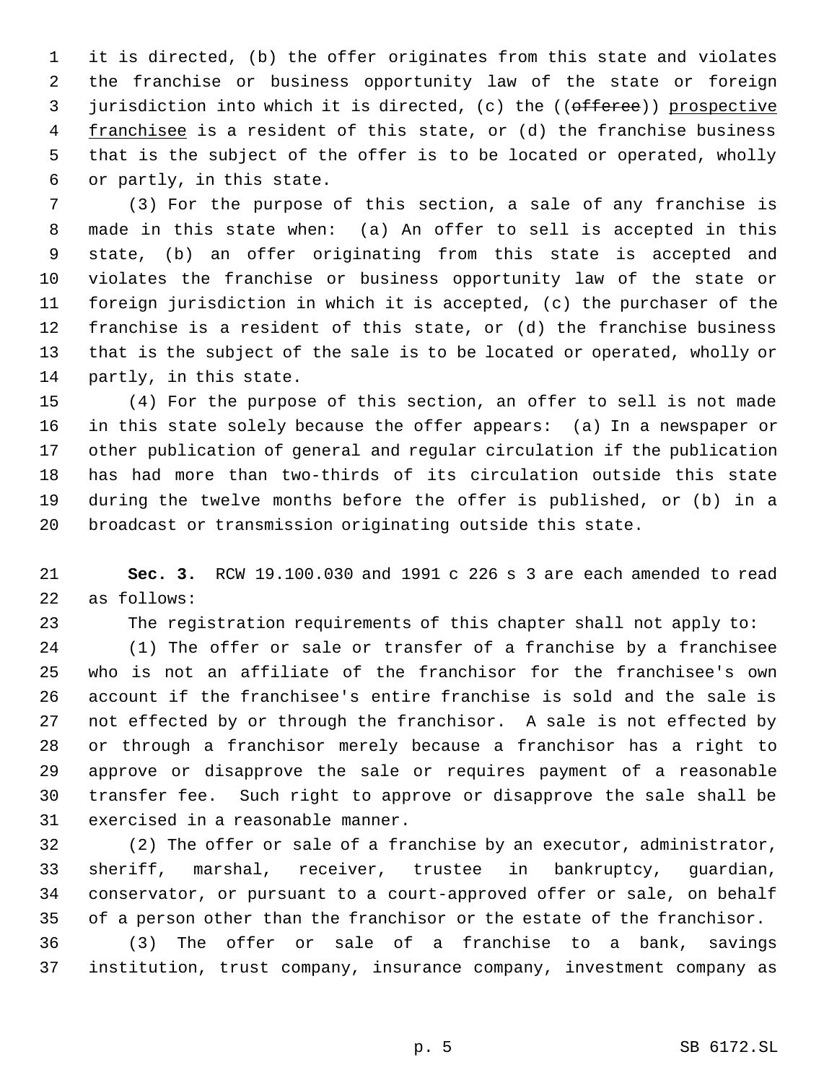it is directed, (b) the offer originates from this state and violates the franchise or business opportunity law of the state or foreign 3 jurisdiction into which it is directed, (c) the ((offeree)) prospective 4 franchisee is a resident of this state, or (d) the franchise business that is the subject of the offer is to be located or operated, wholly or partly, in this state.

 (3) For the purpose of this section, a sale of any franchise is made in this state when: (a) An offer to sell is accepted in this state, (b) an offer originating from this state is accepted and violates the franchise or business opportunity law of the state or foreign jurisdiction in which it is accepted, (c) the purchaser of the franchise is a resident of this state, or (d) the franchise business that is the subject of the sale is to be located or operated, wholly or partly, in this state.

 (4) For the purpose of this section, an offer to sell is not made in this state solely because the offer appears: (a) In a newspaper or other publication of general and regular circulation if the publication has had more than two-thirds of its circulation outside this state during the twelve months before the offer is published, or (b) in a broadcast or transmission originating outside this state.

 **Sec. 3.** RCW 19.100.030 and 1991 c 226 s 3 are each amended to read as follows:

The registration requirements of this chapter shall not apply to:

 (1) The offer or sale or transfer of a franchise by a franchisee who is not an affiliate of the franchisor for the franchisee's own account if the franchisee's entire franchise is sold and the sale is not effected by or through the franchisor. A sale is not effected by or through a franchisor merely because a franchisor has a right to approve or disapprove the sale or requires payment of a reasonable transfer fee. Such right to approve or disapprove the sale shall be exercised in a reasonable manner.

 (2) The offer or sale of a franchise by an executor, administrator, sheriff, marshal, receiver, trustee in bankruptcy, guardian, conservator, or pursuant to a court-approved offer or sale, on behalf of a person other than the franchisor or the estate of the franchisor.

 (3) The offer or sale of a franchise to a bank, savings institution, trust company, insurance company, investment company as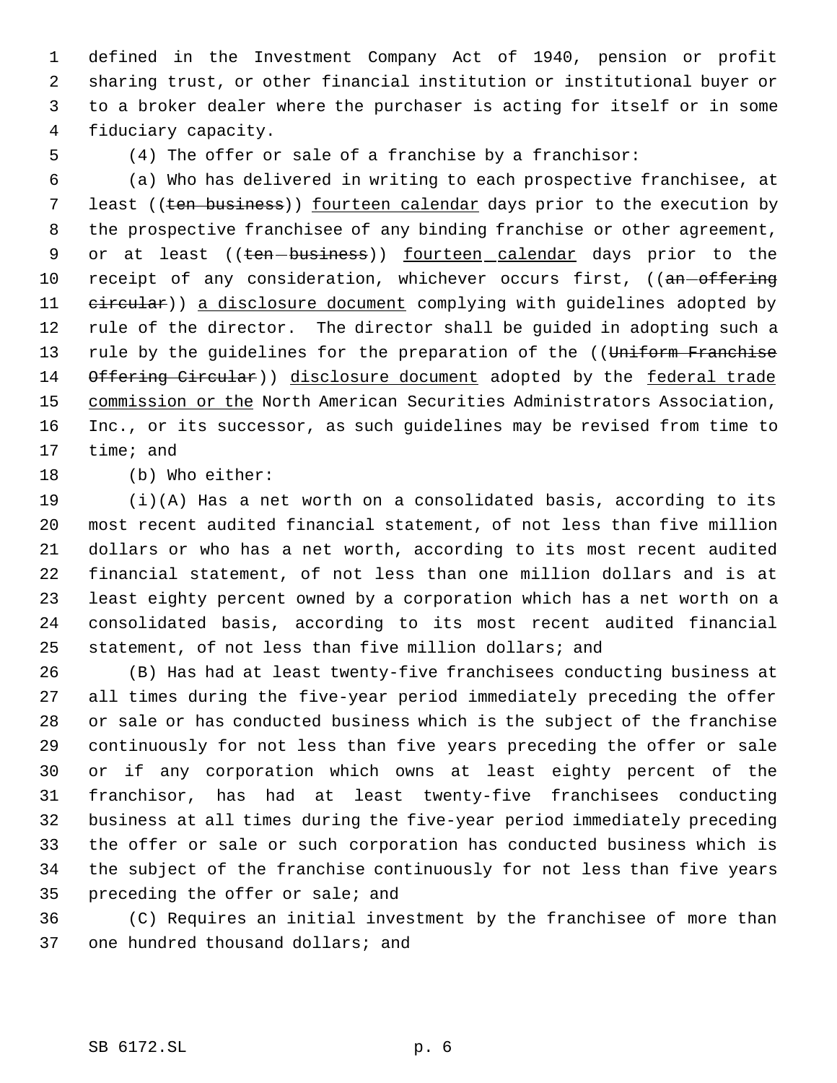defined in the Investment Company Act of 1940, pension or profit sharing trust, or other financial institution or institutional buyer or to a broker dealer where the purchaser is acting for itself or in some fiduciary capacity.

(4) The offer or sale of a franchise by a franchisor:

 (a) Who has delivered in writing to each prospective franchisee, at 7 least ((ten business)) fourteen calendar days prior to the execution by the prospective franchisee of any binding franchise or other agreement, 9 or at least ((ten-business)) fourteen calendar days prior to the 10 receipt of any consideration, whichever occurs first, ((an-offering 11 eircular)) a disclosure document complying with guidelines adopted by rule of the director. The director shall be guided in adopting such a 13 rule by the guidelines for the preparation of the ((Uniform Franchise 14 Offering Circular)) disclosure document adopted by the federal trade 15 commission or the North American Securities Administrators Association, Inc., or its successor, as such guidelines may be revised from time to time; and

(b) Who either:

 (i)(A) Has a net worth on a consolidated basis, according to its most recent audited financial statement, of not less than five million dollars or who has a net worth, according to its most recent audited financial statement, of not less than one million dollars and is at least eighty percent owned by a corporation which has a net worth on a consolidated basis, according to its most recent audited financial statement, of not less than five million dollars; and

 (B) Has had at least twenty-five franchisees conducting business at all times during the five-year period immediately preceding the offer or sale or has conducted business which is the subject of the franchise continuously for not less than five years preceding the offer or sale or if any corporation which owns at least eighty percent of the franchisor, has had at least twenty-five franchisees conducting business at all times during the five-year period immediately preceding the offer or sale or such corporation has conducted business which is the subject of the franchise continuously for not less than five years preceding the offer or sale; and

 (C) Requires an initial investment by the franchisee of more than 37 one hundred thousand dollars; and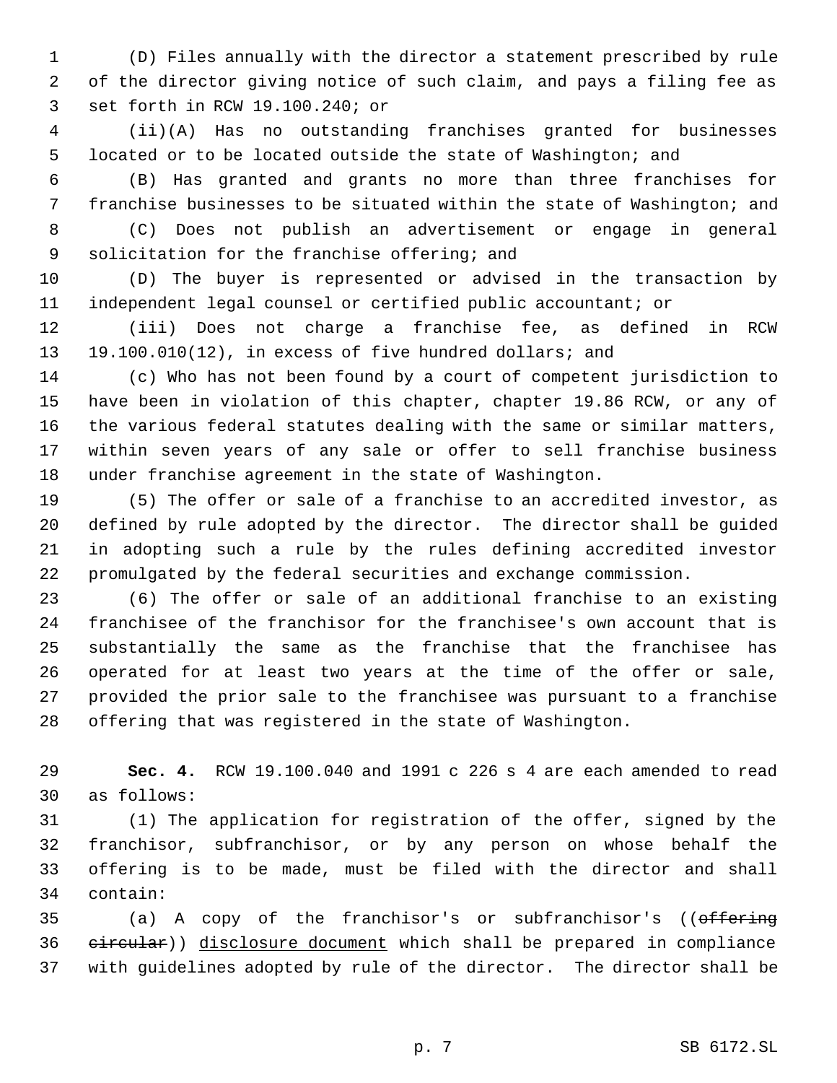(D) Files annually with the director a statement prescribed by rule of the director giving notice of such claim, and pays a filing fee as set forth in RCW 19.100.240; or

 (ii)(A) Has no outstanding franchises granted for businesses located or to be located outside the state of Washington; and

 (B) Has granted and grants no more than three franchises for franchise businesses to be situated within the state of Washington; and

 (C) Does not publish an advertisement or engage in general solicitation for the franchise offering; and

 (D) The buyer is represented or advised in the transaction by independent legal counsel or certified public accountant; or

 (iii) Does not charge a franchise fee, as defined in RCW 19.100.010(12), in excess of five hundred dollars; and

 (c) Who has not been found by a court of competent jurisdiction to have been in violation of this chapter, chapter 19.86 RCW, or any of the various federal statutes dealing with the same or similar matters, within seven years of any sale or offer to sell franchise business under franchise agreement in the state of Washington.

 (5) The offer or sale of a franchise to an accredited investor, as defined by rule adopted by the director. The director shall be guided in adopting such a rule by the rules defining accredited investor promulgated by the federal securities and exchange commission.

 (6) The offer or sale of an additional franchise to an existing franchisee of the franchisor for the franchisee's own account that is substantially the same as the franchise that the franchisee has operated for at least two years at the time of the offer or sale, provided the prior sale to the franchisee was pursuant to a franchise offering that was registered in the state of Washington.

 **Sec. 4.** RCW 19.100.040 and 1991 c 226 s 4 are each amended to read as follows:

 (1) The application for registration of the offer, signed by the franchisor, subfranchisor, or by any person on whose behalf the offering is to be made, must be filed with the director and shall contain:

35 (a) A copy of the franchisor's or subfranchisor's ((offering 36 eircular)) disclosure document which shall be prepared in compliance with guidelines adopted by rule of the director. The director shall be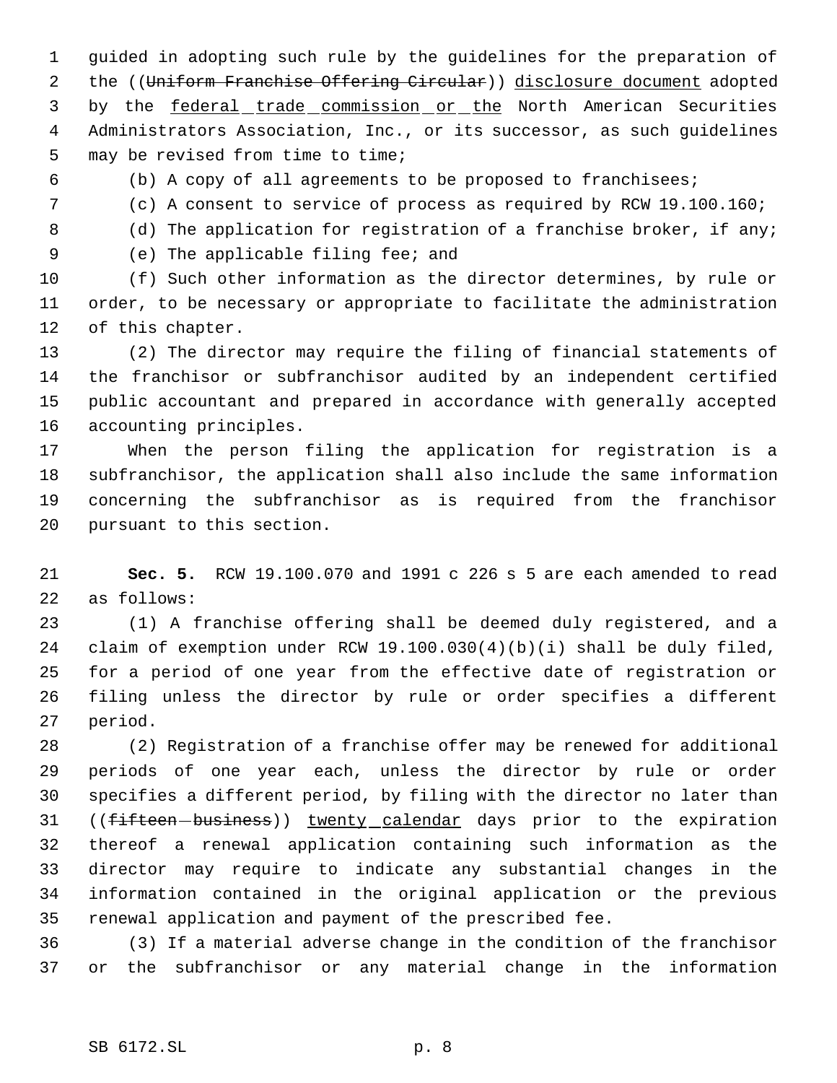guided in adopting such rule by the guidelines for the preparation of 2 the ((Uniform Franchise Offering Circular)) disclosure document adopted 3 by the federal trade commission or the North American Securities Administrators Association, Inc., or its successor, as such guidelines may be revised from time to time;

(b) A copy of all agreements to be proposed to franchisees;

(c) A consent to service of process as required by RCW 19.100.160;

8 (d) The application for registration of a franchise broker, if any;

(e) The applicable filing fee; and

 (f) Such other information as the director determines, by rule or order, to be necessary or appropriate to facilitate the administration of this chapter.

 (2) The director may require the filing of financial statements of the franchisor or subfranchisor audited by an independent certified public accountant and prepared in accordance with generally accepted accounting principles.

 When the person filing the application for registration is a subfranchisor, the application shall also include the same information concerning the subfranchisor as is required from the franchisor pursuant to this section.

 **Sec. 5.** RCW 19.100.070 and 1991 c 226 s 5 are each amended to read as follows:

 (1) A franchise offering shall be deemed duly registered, and a claim of exemption under RCW 19.100.030(4)(b)(i) shall be duly filed, for a period of one year from the effective date of registration or filing unless the director by rule or order specifies a different period.

 (2) Registration of a franchise offer may be renewed for additional periods of one year each, unless the director by rule or order specifies a different period, by filing with the director no later than 31 ((fifteen-business)) twenty calendar days prior to the expiration thereof a renewal application containing such information as the director may require to indicate any substantial changes in the information contained in the original application or the previous renewal application and payment of the prescribed fee.

 (3) If a material adverse change in the condition of the franchisor or the subfranchisor or any material change in the information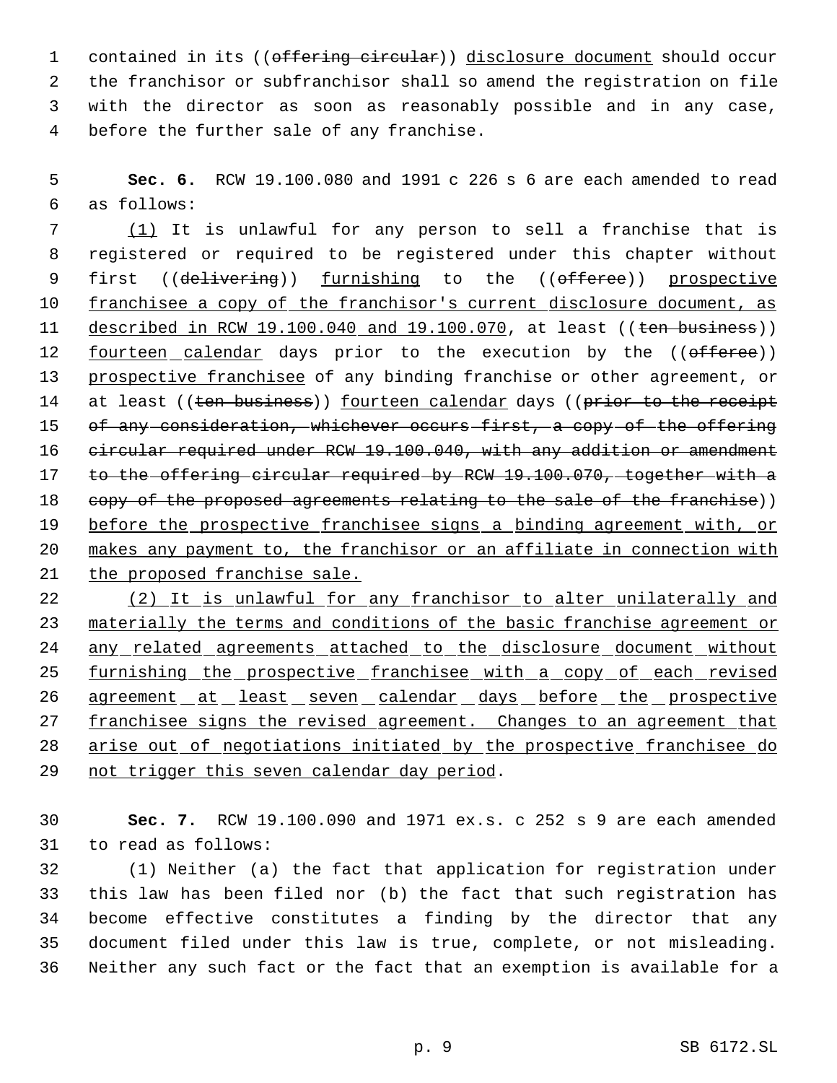1 contained in its ((offering circular)) disclosure document should occur the franchisor or subfranchisor shall so amend the registration on file with the director as soon as reasonably possible and in any case, before the further sale of any franchise.

 5 **Sec. 6.** RCW 19.100.080 and 1991 c 226 s 6 are each amended to read 6 as follows:

 7 (1) It is unlawful for any person to sell a franchise that is 8 registered or required to be registered under this chapter without 9 first ((delivering)) furnishing to the ((offeree)) prospective 10 franchisee a copy of the franchisor's current disclosure document, as 11 described in RCW 19.100.040 and 19.100.070, at least ((ten business)) 12 fourteen calendar days prior to the execution by the ((offeree)) 13 prospective franchisee of any binding franchise or other agreement, or 14 at least ((ten business)) fourteen calendar days ((prior to the receipt 15 of any consideration, whichever occurs first, a copy of the offering 16 circular required under RCW 19.100.040, with any addition or amendment 17 to the offering circular required by RCW 19.100.070, together with a 18 copy of the proposed agreements relating to the sale of the franchise)) 19 before the prospective franchisee signs a binding agreement with, or 20 makes any payment to, the franchisor or an affiliate in connection with 21 the proposed franchise sale.

22 (2) It is unlawful for any franchisor to alter unilaterally and 23 materially the terms and conditions of the basic franchise agreement or 24 any related agreements attached to the disclosure document without 25 furnishing the prospective franchisee with a copy of each revised 26 agreement at least seven calendar days before the prospective 27 franchisee signs the revised agreement. Changes to an agreement that 28 arise out of negotiations initiated by the prospective franchisee do 29 not trigger this seven calendar day period.

30 **Sec. 7.** RCW 19.100.090 and 1971 ex.s. c 252 s 9 are each amended 31 to read as follows:

 (1) Neither (a) the fact that application for registration under this law has been filed nor (b) the fact that such registration has become effective constitutes a finding by the director that any document filed under this law is true, complete, or not misleading. Neither any such fact or the fact that an exemption is available for a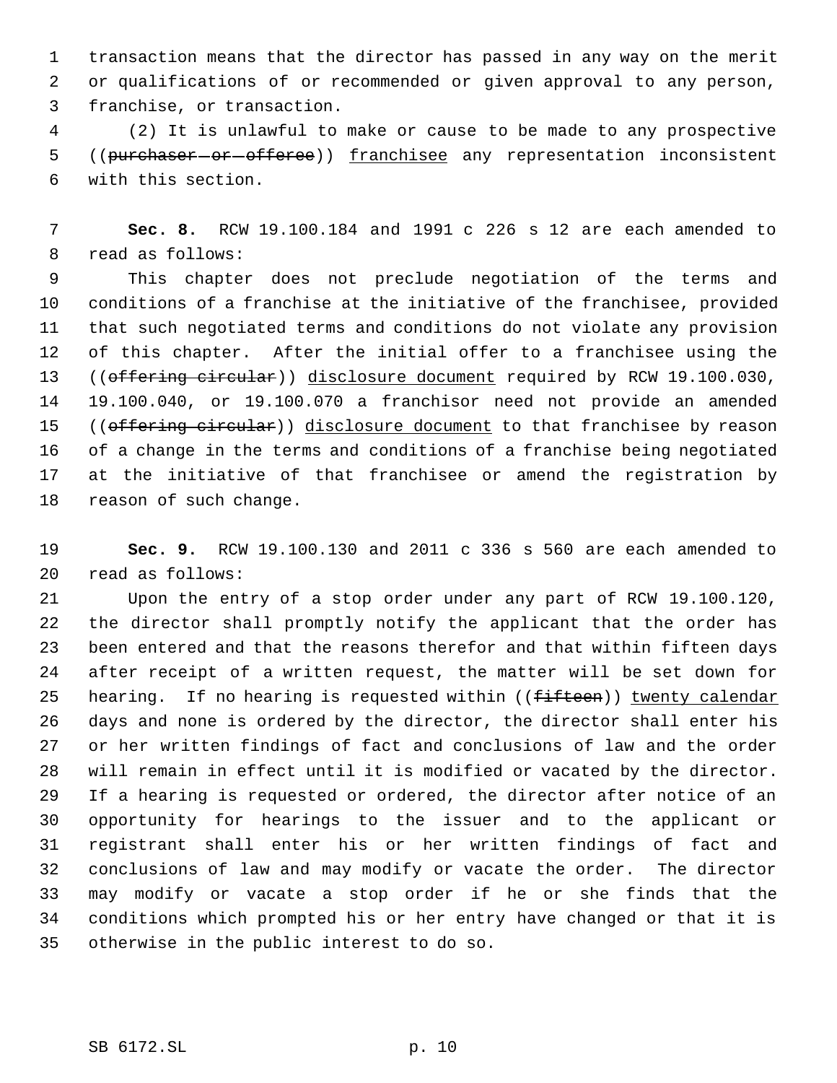transaction means that the director has passed in any way on the merit or qualifications of or recommended or given approval to any person, franchise, or transaction.

 (2) It is unlawful to make or cause to be made to any prospective 5 ((purchaser or offeree)) franchisee any representation inconsistent with this section.

 **Sec. 8.** RCW 19.100.184 and 1991 c 226 s 12 are each amended to read as follows:

 This chapter does not preclude negotiation of the terms and conditions of a franchise at the initiative of the franchisee, provided that such negotiated terms and conditions do not violate any provision of this chapter. After the initial offer to a franchisee using the 13 ((offering circular)) disclosure document required by RCW 19.100.030, 19.100.040, or 19.100.070 a franchisor need not provide an amended 15 ((offering circular)) disclosure document to that franchisee by reason of a change in the terms and conditions of a franchise being negotiated at the initiative of that franchisee or amend the registration by reason of such change.

 **Sec. 9.** RCW 19.100.130 and 2011 c 336 s 560 are each amended to read as follows:

 Upon the entry of a stop order under any part of RCW 19.100.120, the director shall promptly notify the applicant that the order has been entered and that the reasons therefor and that within fifteen days after receipt of a written request, the matter will be set down for 25 hearing. If no hearing is requested within  $($  ( $f$ ifteen)) twenty calendar days and none is ordered by the director, the director shall enter his or her written findings of fact and conclusions of law and the order will remain in effect until it is modified or vacated by the director. If a hearing is requested or ordered, the director after notice of an opportunity for hearings to the issuer and to the applicant or registrant shall enter his or her written findings of fact and conclusions of law and may modify or vacate the order. The director may modify or vacate a stop order if he or she finds that the conditions which prompted his or her entry have changed or that it is otherwise in the public interest to do so.